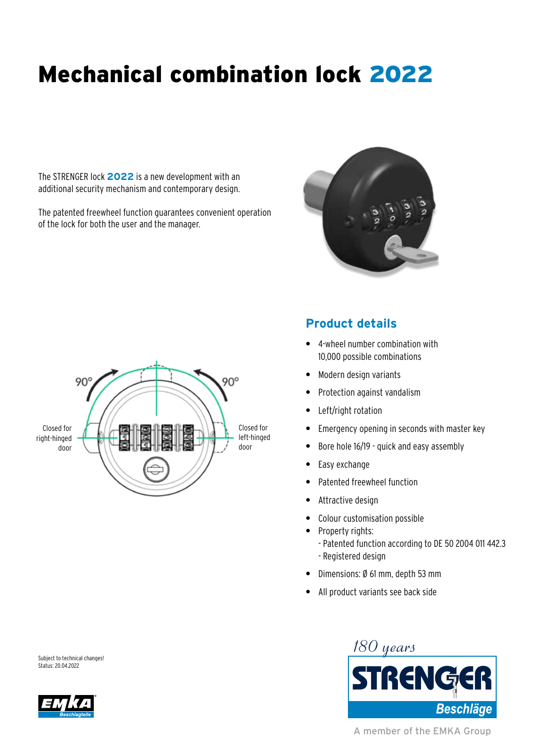# Mechanical combination lock 2022

The STRENGER lock **2022** is a new development with an additional security mechanism and contemporary design.

The patented freewheel function guarantees convenient operation of the lock for both the user and the manager.





## **Product details**

- **•** 4-wheel number combination with 10,000 possible combinations
- **•** Modern design variants
- **•** Protection against vandalism
- **•** Left/right rotation
- **•** Emergency opening in seconds with master key
- **•** Bore hole 16/19 quick and easy assembly
- **•** Easy exchange
- **•** Patented freewheel function
- **•** Attractive design
- **•** Colour customisation possible
- **•** Property rights: - Patented function according to DE 50 2004 011 442.3 - Registered design
- **•** Dimensions: Ø 61 mm, depth 53 mm
- **•** All product variants see back side





A member of the EMKA Group